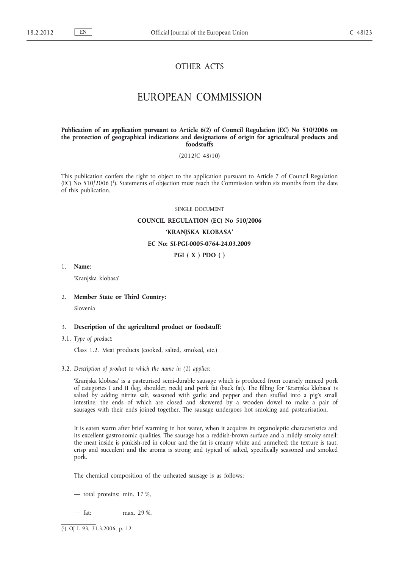## OTHER ACTS

# EUROPEAN COMMISSION

## **Publication of an application pursuant to Article 6(2) of Council Regulation (EC) No 510/2006 on the protection of geographical indications and designations of origin for agricultural products and foodstuffs**

## (2012/C 48/10)

This publication confers the right to object to the application pursuant to Article 7 of Council Regulation (EC) No 510/2006 (1). Statements of objection must reach the Commission within six months from the date of this publication.

#### SINGLE DOCUMENT

# **COUNCIL REGULATION (EC) No 510/2006**

## **'KRANJSKA KLOBASA'**

## **EC No: SI-PGI-0005-0764-24.03.2009**

**PGI ( X ) PDO ( )**

1. **Name:**

'Kranjska klobasa'

## 2. **Member State or Third Country:**

Slovenia

## 3. **Description of the agricultural product or foodstuff:**

3.1. *Type of product*:

Class 1.2. Meat products (cooked, salted, smoked, etc.)

## 3.2. *Description of product to which the name in (1) applies:*

'Kranjska klobasa' is a pasteurised semi-durable sausage which is produced from coarsely minced pork of categories I and II (leg, shoulder, neck) and pork fat (back fat). The filling for 'Kranjska klobasa' is salted by adding nitrite salt, seasoned with garlic and pepper and then stuffed into a pig's small intestine, the ends of which are closed and skewered by a wooden dowel to make a pair of sausages with their ends joined together. The sausage undergoes hot smoking and pasteurisation.

It is eaten warm after brief warming in hot water, when it acquires its organoleptic characteristics and its excellent gastronomic qualities. The sausage has a reddish-brown surface and a mildly smoky smell; the meat inside is pinkish-red in colour and the fat is creamy white and unmelted; the texture is taut, crisp and succulent and the aroma is strong and typical of salted, specifically seasoned and smoked pork.

The chemical composition of the unheated sausage is as follows:

— total proteins: min. 17 %,

— fat: max. 29 %.

( 1) OJ L 93, 31.3.2006, p. 12.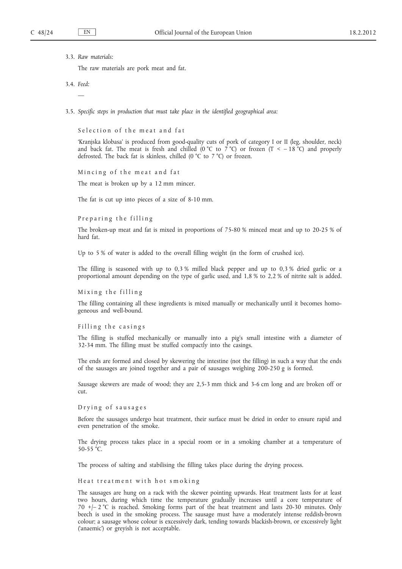#### 3.3. *Raw materials:*

The raw materials are pork meat and fat.

3.4. *Feed:*

—

3.5. *Specific steps in production that must take place in the identified geographical area:*

Selection of the meat and fat

'Kranjska klobasa' is produced from good-quality cuts of pork of category I or II (leg, shoulder, neck) and back fat. The meat is fresh and chilled (0 °C to 7 °C) or frozen (T < -18 °C) and properly defrosted. The back fat is skinless, chilled (0  $\degree$ C to 7  $\degree$ C) or frozen.

Mincing of the meat and fat

The meat is broken up by a 12 mm mincer.

The fat is cut up into pieces of a size of 8-10 mm.

## Preparing the filling

The broken-up meat and fat is mixed in proportions of 75-80 % minced meat and up to 20-25 % of hard fat.

Up to 5 % of water is added to the overall filling weight (in the form of crushed ice).

The filling is seasoned with up to 0,3 % milled black pepper and up to 0,3 % dried garlic or a proportional amount depending on the type of garlic used, and 1,8 % to 2,2 % of nitrite salt is added.

## Mixing the filling

The filling containing all these ingredients is mixed manually or mechanically until it becomes homogeneous and well-bound.

### Filling the casings

The filling is stuffed mechanically or manually into a pig's small intestine with a diameter of 32-34 mm. The filling must be stuffed compactly into the casings.

The ends are formed and closed by skewering the intestine (not the filling) in such a way that the ends of the sausages are joined together and a pair of sausages weighing 200-250 g is formed.

Sausage skewers are made of wood; they are 2,5-3 mm thick and 3-6 cm long and are broken off or cut.

### Drying of sausages

Before the sausages undergo heat treatment, their surface must be dried in order to ensure rapid and even penetration of the smoke.

The drying process takes place in a special room or in a smoking chamber at a temperature of 50-55  $^{\circ}$ C.

The process of salting and stabilising the filling takes place during the drying process.

#### Heat treatment with hot smoking

The sausages are hung on a rack with the skewer pointing upwards. Heat treatment lasts for at least two hours, during which time the temperature gradually increases until a core temperature of 70 +/- 2 °C is reached. Smoking forms part of the heat treatment and lasts 20-30 minutes. Only beech is used in the smoking process. The sausage must have a moderately intense reddish-brown colour; a sausage whose colour is excessively dark, tending towards blackish-brown, or excessively light ('anaemic') or greyish is not acceptable.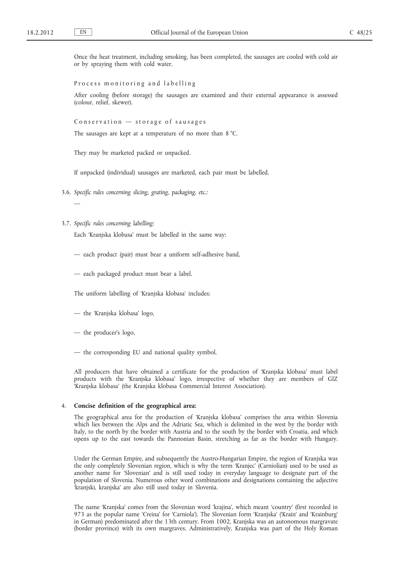Once the heat treatment, including smoking, has been completed, the sausages are cooled with cold air or by spraying them with cold water.

Process monitoring and labelling

After cooling (before storage) the sausages are examined and their external appearance is assessed (colour, relief, skewer).

 $Conservation - storage of sausages$ 

The sausages are kept at a temperature of no more than 8 °C.

They may be marketed packed or unpacked.

If unpacked (individual) sausages are marketed, each pair must be labelled.

- 3.6. *Specific rules concerning slicing, grating, packaging, etc.:*
- 3.7. *Specific rules concerning labelling:*

—

Each 'Kranjska klobasa' must be labelled in the same way:

- each product (pair) must bear a uniform self-adhesive band,
- each packaged product must bear a label.

The uniform labelling of 'Kranjska klobasa' includes:

- the 'Kranjska klobasa' logo,
- the producer's logo,
- the corresponding EU and national quality symbol.

All producers that have obtained a certificate for the production of 'Kranjska klobasa' must label products with the 'Kranjska klobasa' logo, irrespective of whether they are members of GIZ 'Kranjska klobasa' (the Kranjska klobasa Commercial Interest Association).

## 4. **Concise definition of the geographical area:**

The geographical area for the production of 'Kranjska klobasa' comprises the area within Slovenia which lies between the Alps and the Adriatic Sea, which is delimited in the west by the border with Italy, to the north by the border with Austria and to the south by the border with Croatia, and which opens up to the east towards the Pannonian Basin, stretching as far as the border with Hungary.

Under the German Empire, and subsequently the Austro-Hungarian Empire, the region of Kranjska was the only completely Slovenian region, which is why the term 'Kranjec' (Carniolian) used to be used as another name for 'Slovenian' and is still used today in everyday language to designate part of the population of Slovenia. Numerous other word combinations and designations containing the adjective 'kranjski, kranjska' are also still used today in Slovenia.

The name 'Kranjska' comes from the Slovenian word 'krajina', which meant 'country' (first recorded in 973 as the popular name 'Creina' for 'Carniola'). The Slovenian form 'Kranjska' ('Krain' and 'Krainburg' in German) predominated after the 13th century. From 1002, Kranjska was an autonomous margravate (border province) with its own margraves. Administratively, Kranjska was part of the Holy Roman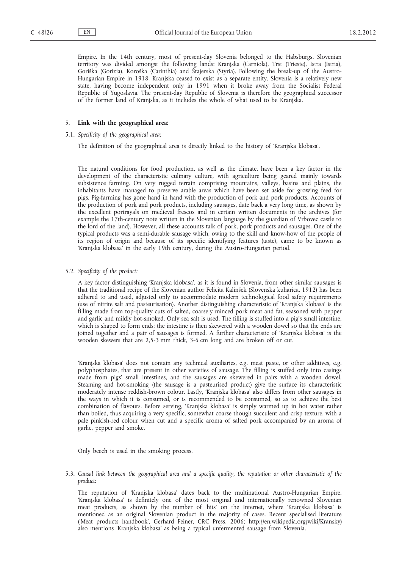Empire. In the 14th century, most of present-day Slovenia belonged to the Habsburgs. Slovenian territory was divided amongst the following lands: Kranjska (Carniola), Trst (Trieste), Istra (Istria), Goriška (Gorizia), Koroška (Carinthia) and Štajerska (Styria). Following the break-up of the Austro-Hungarian Empire in 1918, Kranjska ceased to exist as a separate entity. Slovenia is a relatively new state, having become independent only in 1991 when it broke away from the Socialist Federal Republic of Yugoslavia. The present-day Republic of Slovenia is therefore the geographical successor of the former land of Kranjska, as it includes the whole of what used to be Kranjska.

## 5. **Link with the geographical area:**

5.1. *Specificity of the geographical area:*

The definition of the geographical area is directly linked to the history of 'Kranjska klobasa'.

The natural conditions for food production, as well as the climate, have been a key factor in the development of the characteristic culinary culture, with agriculture being geared mainly towards subsistence farming. On very rugged terrain comprising mountains, valleys, basins and plains, the inhabitants have managed to preserve arable areas which have been set aside for growing feed for pigs. Pig-farming has gone hand in hand with the production of pork and pork products. Accounts of the production of pork and pork products, including sausages, date back a very long time, as shown by the excellent portrayals on medieval frescos and in certain written documents in the archives (for example the 17th-century note written in the Slovenian language by the guardian of Vrbovec castle to the lord of the land). However, all these accounts talk of pork, pork products and sausages. One of the typical products was a semi-durable sausage which, owing to the skill and know-how of the people of its region of origin and because of its specific identifying features (taste), came to be known as 'Kranjska klobasa' in the early 19th century, during the Austro-Hungarian period.

## 5.2. *Specificity of the product:*

A key factor distinguishing 'Kranjska klobasa', as it is found in Slovenia, from other similar sausages is that the traditional recipe of the Slovenian author Felicita Kalinšek (Slovenska kuharica, 1912) has been adhered to and used, adjusted only to accommodate modern technological food safety requirements (use of nitrite salt and pasteurisation). Another distinguishing characteristic of 'Kranjska klobasa' is the filling made from top-quality cuts of salted, coarsely minced pork meat and fat, seasoned with pepper and garlic and mildly hot-smoked. Only sea salt is used. The filling is stuffed into a pig's small intestine, which is shaped to form ends; the intestine is then skewered with a wooden dowel so that the ends are joined together and a pair of sausages is formed. A further characteristic of 'Kranjska klobasa' is the wooden skewers that are 2,5-3 mm thick, 3-6 cm long and are broken off or cut.

'Kranjska klobasa' does not contain any technical auxiliaries, e.g. meat paste, or other additives, e.g. polyphosphates, that are present in other varieties of sausage. The filling is stuffed only into casings made from pigs' small intestines, and the sausages are skewered in pairs with a wooden dowel. Steaming and hot-smoking (the sausage is a pasteurised product) give the surface its characteristic moderately intense reddish-brown colour. Lastly, 'Kranjska klobasa' also differs from other sausages in the ways in which it is consumed, or is recommended to be consumed, so as to achieve the best combination of flavours. Before serving, 'Kranjska klobasa' is simply warmed up in hot water rather than boiled, thus acquiring a very specific, somewhat coarse though succulent and crisp texture, with a pale pinkish-red colour when cut and a specific aroma of salted pork accompanied by an aroma of garlic, pepper and smoke.

Only beech is used in the smoking process.

5.3. *Causal link between the geographical area and a specific quality, the reputation or other characteristic of the product:*

The reputation of 'Kranjska klobasa' dates back to the multinational Austro-Hungarian Empire. 'Kranjska klobasa' is definitely one of the most original and internationally renowned Slovenian meat products, as shown by the number of 'hits' on the Internet, where 'Kranjska klobasa' is mentioned as an original Slovenian product in the majority of cases. Recent specialised literature ('Meat products handbook', Gerhard Feiner, CRC Press, 2006; <http://en.wikipedia.org/wiki/Kransky>) also mentions 'Kranjska klobasa' as being a typical unfermented sausage from Slovenia.